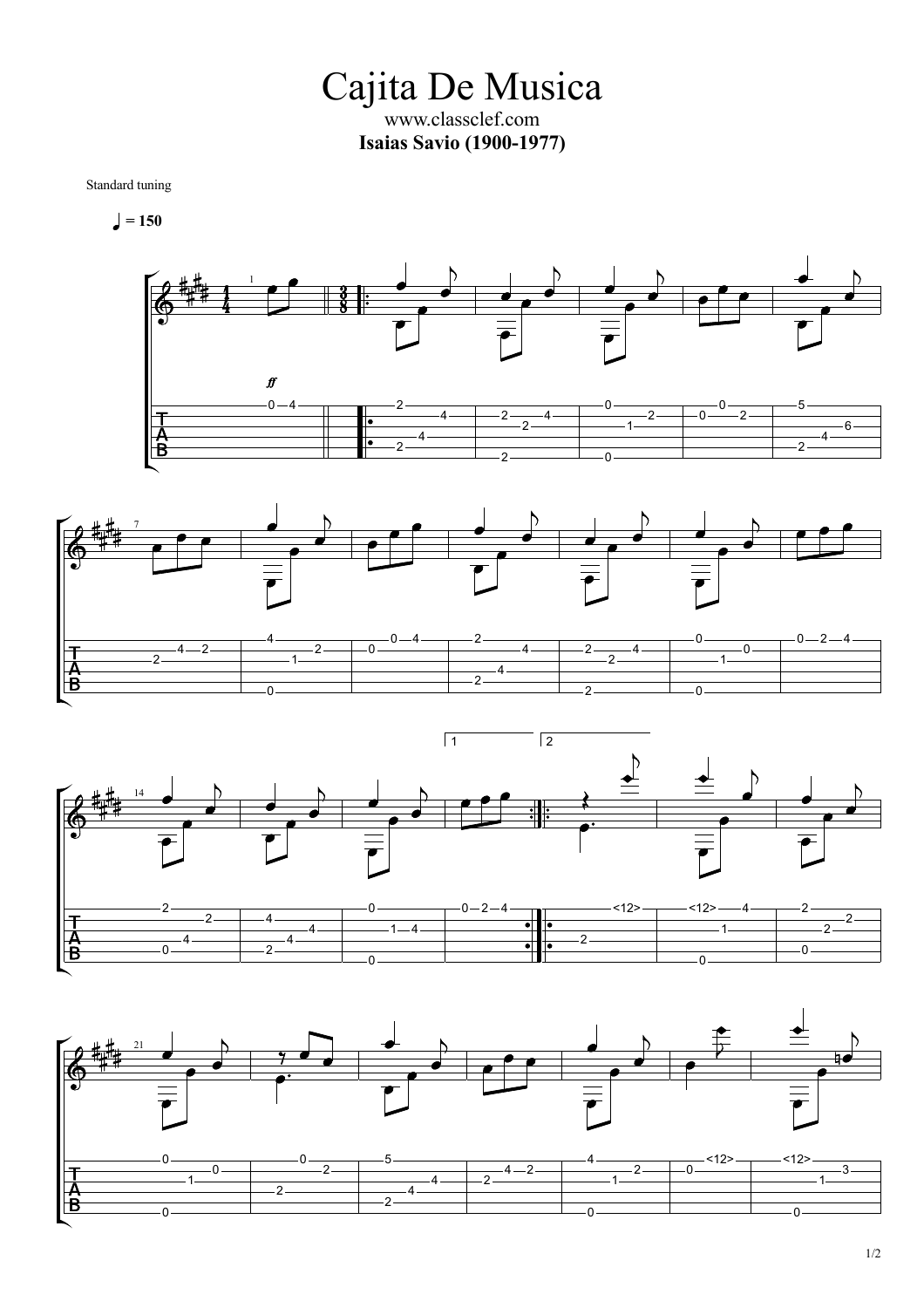Cajita De Musica www.classclef.com **Isaias Savio (1900-1977)**

Standard tuning

 $= 150$